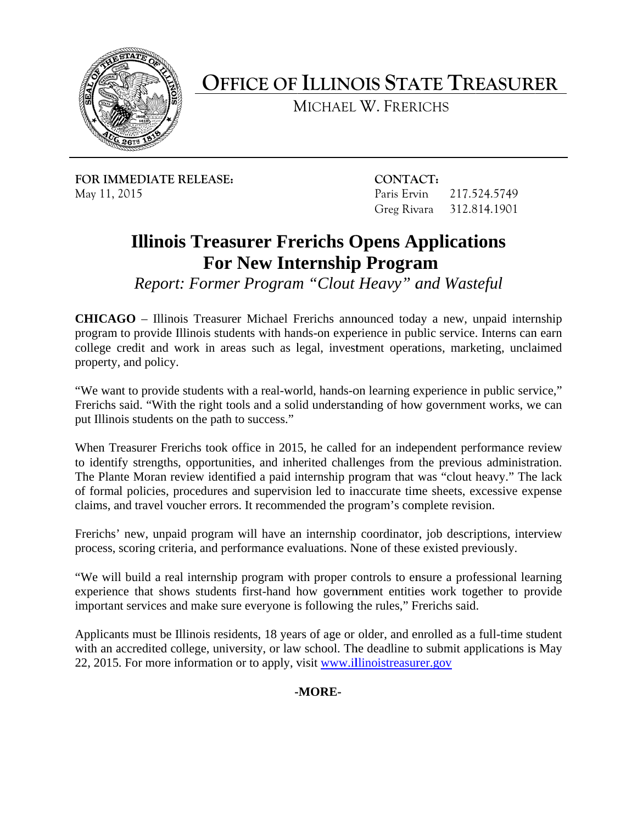

**OFFICE OF ILLINOIS STATE TREASURER** 

MICHAEL W. FRERICHS

**FOR IMMEDIATE RELEASE: CONTACT:**  May 11, 2015 Paris Ervin 217.524.5749

Greg Rivara 312.814.1901

## **Illinois Treasurer Frerichs Opens Applications For New Internship Program**

*Report: Former Program "Clout Heavy" and Wasteful* 

**CHICAGO** – Illinois Treasurer Michael Frerichs announced today a new, unpaid internship program to provide Illinois students with hands-on experience in public service. Interns can earn college credit and work in areas such as legal, investment operations, marketing, unclaimed property, and policy.

"We want to provide students with a real-world, hands-on learning experience in public service," Frerichs said. "With the right tools and a solid understanding of how government works, we can put Illinois students on the path to success."

When Treasurer Frerichs took office in 2015, he called for an independent performance review to identify strengths, opportunities, and inherited challenges from the previous administration. The Plante Moran review identified a paid internship program that was "clout heavy." The lack of formal policies, procedures and supervision led to inaccurate time sheets, excessive expense claims, and travel voucher errors. It recommended the program's complete revision.

Frerichs' new, unpaid program will have an internship coordinator, job descriptions, interview process, scoring criteria, and performance evaluations. None of these existed previously.

"We will build a real internship program with proper controls to ensure a professional learning experience that shows students first-hand how government entities work together to provide important services and make sure everyone is following the rules," Frerichs said.

Applicants must be Illinois residents, 18 years of age or older, and enrolled as a full-time student with an accredited college, university, or law school. The deadline to submit applications is May 22, 2015. For more information or to apply, visit www.illinoistreasurer.gov

**-MORE-**